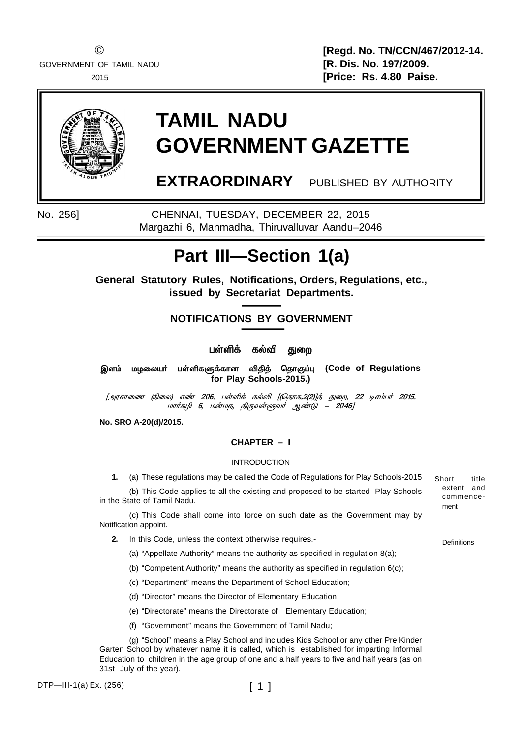© **[Regd. No. TN/CCN/467/2012-14.** 2015 **[Price: Rs. 4.80 Paise.**



# **TAMIL NADU GOVERNMENT GAZETTE**

**EXTRAORDINARY** PUBLISHED BY AUTHORITY

No. 256] CHENNAI, TUESDAY, DECEMBER 22, 2015 Margazhi 6, Manmadha, Thiruvalluvar Aandu–2046

# **Part III—Section 1(a)**

**General Statutory Rules, Notifications, Orders, Regulations, etc., issued by Secretariat Departments.**

# **NOTIFICATIONS BY GOVERNMENT**

்பள்ளிக் கல்வி <u>த</u>ுறை

இளம் மழலையர் பள்ளிகளுக்கான விதித் தொகுப்பு (Code of Regulations **for Play Schools-2015.)**

*[Üó꣬í (G¬ô) ⇠206, ðœO' è™M [(ªî£è.2(2)]ˆ ¶¬ø, 22 ®ê‹ð˜ 2015, மார்கழி 6, மன்மத, திருவள்ளுவர் ஆண்டு – 2046]* 

**No. SRO A-20(d)/2015.**

# **CHAPTER – I**

# INTRODUCTION

**1.** (a) These regulations may be called the Code of Regulations for Play Schools-2015

(b) This Code applies to all the existing and proposed to be started Play Schools in the State of Tamil Nadu.

(c) This Code shall come into force on such date as the Government may by Notification appoint.

- **2.** In this Code, unless the context otherwise requires.-
	- (a) "Appellate Authority" means the authority as specified in regulation 8(a);

(b) "Competent Authority" means the authority as specified in regulation 6(c);

- (c) "Department" means the Department of School Education;
- (d) "Director" means the Director of Elementary Education;
- (e) "Directorate" means the Directorate of Elementary Education;
- (f) "Government" means the Government of Tamil Nadu;

(g) "School" means a Play School and includes Kids School or any other Pre Kinder Garten School by whatever name it is called, which is established for imparting Informal Education to children in the age group of one and a half years to five and half years (as on 31st July of the year).

DTP—III-1(a) Ex. (256)

Short title extent and commence ment

**Definitions**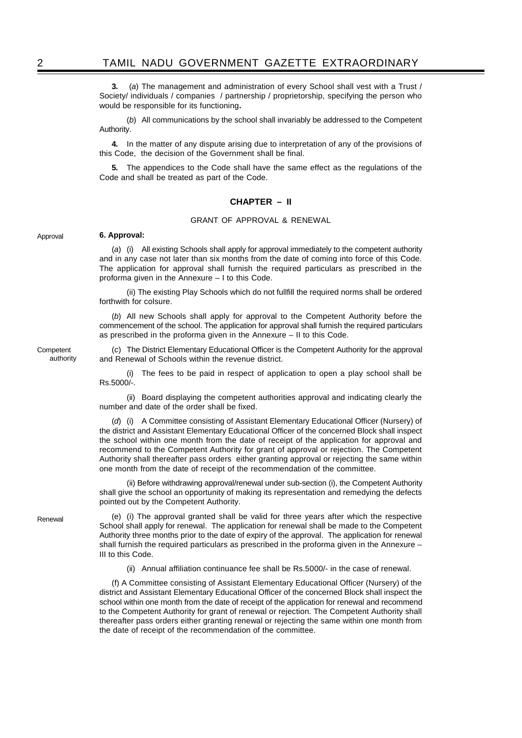**3.** (*a*) The management and administration of every School shall vest with a Trust / Society/ individuals / companies / partnership / proprietorship, specifying the person who would be responsible for its functioning**.**

(*b*) All communications by the school shall invariably be addressed to the Competent Authority.

**4.** In the matter of any dispute arising due to interpretation of any of the provisions of this Code, the decision of the Government shall be final.

**5.** The appendices to the Code shall have the same effect as the regulations of the Code and shall be treated as part of the Code.

#### **CHAPTER – II**

# GRANT OF APPROVAL & RENEWAL

Approval

**Competent** authority

# **6. Approval:**

(*a*) (i) All existing Schools shall apply for approval immediately to the competent authority and in any case not later than six months from the date of coming into force of this Code. The application for approval shall furnish the required particulars as prescribed in the proforma given in the Annexure – I to this Code.

(ii) The existing Play Schools which do not fullfill the required norms shall be ordered forthwith for colsure.

(*b*) All new Schools shall apply for approval to the Competent Authority before the commencement of the school. The application for approval shall furnish the required particulars as prescribed in the proforma given in the Annexure – II to this Code.

(*c*) The District Elementary Educational Officer is the Competent Authority for the approval and Renewal of Schools within the revenue district.

(i) The fees to be paid in respect of application to open a play school shall be Rs.5000/-.

(ii) Board displaying the competent authorities approval and indicating clearly the number and date of the order shall be fixed.

(*d*) (i) A Committee consisting of Assistant Elementary Educational Officer (Nursery) of the district and Assistant Elementary Educational Officer of the concerned Block shall inspect the school within one month from the date of receipt of the application for approval and recommend to the Competent Authority for grant of approval or rejection. The Competent Authority shall thereafter pass orders either granting approval or rejecting the same within one month from the date of receipt of the recommendation of the committee.

(ii) Before withdrawing approval/renewal under sub-section (i), the Competent Authority shall give the school an opportunity of making its representation and remedying the defects pointed out by the Competent Authority.

(e) (i) The approval granted shall be valid for three years after which the respective School shall apply for renewal. The application for renewal shall be made to the Competent Authority three months prior to the date of expiry of the approval. The application for renewal shall furnish the required particulars as prescribed in the proforma given in the Annexure – III to this Code.

(ii) Annual affiliation continuance fee shall be Rs.5000/- in the case of renewal.

(f) A Committee consisting of Assistant Elementary Educational Officer (Nursery) of the district and Assistant Elementary Educational Officer of the concerned Block shall inspect the school within one month from the date of receipt of the application for renewal and recommend to the Competent Authority for grant of renewal or rejection. The Competent Authority shall thereafter pass orders either granting renewal or rejecting the same within one month from the date of receipt of the recommendation of the committee.

Renewal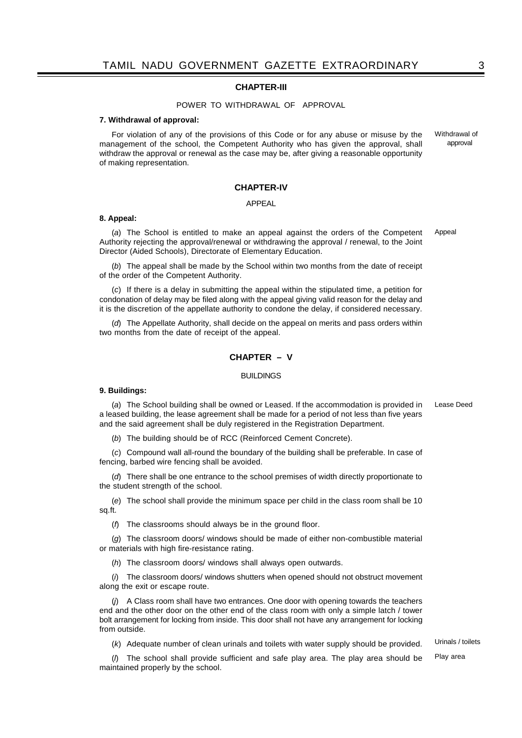# **CHAPTER-III**

#### POWER TO WITHDRAWAL OF APPROVAL

#### **7. Withdrawal of approval:**

For violation of any of the provisions of this Code or for any abuse or misuse by the management of the school, the Competent Authority who has given the approval, shall withdraw the approval or renewal as the case may be, after giving a reasonable opportunity of making representation. Withdrawal of approval

#### **CHAPTER-IV**

#### APPEAL

#### **8. Appeal:**

(*a*) The School is entitled to make an appeal against the orders of the Competent Authority rejecting the approval/renewal or withdrawing the approval / renewal, to the Joint Director (Aided Schools), Directorate of Elementary Education. Appeal

(*b*) The appeal shall be made by the School within two months from the date of receipt of the order of the Competent Authority.

(*c*) If there is a delay in submitting the appeal within the stipulated time, a petition for condonation of delay may be filed along with the appeal giving valid reason for the delay and it is the discretion of the appellate authority to condone the delay, if considered necessary.

(*d*) The Appellate Authority, shall decide on the appeal on merits and pass orders within two months from the date of receipt of the appeal.

# **CHAPTER – V**

#### BUILDINGS

#### **9. Buildings:**

(*a*) The School building shall be owned or Leased. If the accommodation is provided in a leased building, the lease agreement shall be made for a period of not less than five years and the said agreement shall be duly registered in the Registration Department. Lease Deed

(*b*) The building should be of RCC (Reinforced Cement Concrete).

(*c*) Compound wall all-round the boundary of the building shall be preferable. In case of fencing, barbed wire fencing shall be avoided.

(*d*) There shall be one entrance to the school premises of width directly proportionate to the student strength of the school.

(*e*) The school shall provide the minimum space per child in the class room shall be 10 sq.ft.

(*f*) The classrooms should always be in the ground floor.

(*g*) The classroom doors/ windows should be made of either non-combustible material or materials with high fire-resistance rating.

(*h*) The classroom doors/ windows shall always open outwards.

(*i*) The classroom doors/ windows shutters when opened should not obstruct movement along the exit or escape route.

(*j*) A Class room shall have two entrances. One door with opening towards the teachers end and the other door on the other end of the class room with only a simple latch / tower bolt arrangement for locking from inside. This door shall not have any arrangement for locking from outside.

(*k*) Adequate number of clean urinals and toilets with water supply should be provided.

Play area Urinals / toilets

(*l*) The school shall provide sufficient and safe play area. The play area should be maintained properly by the school.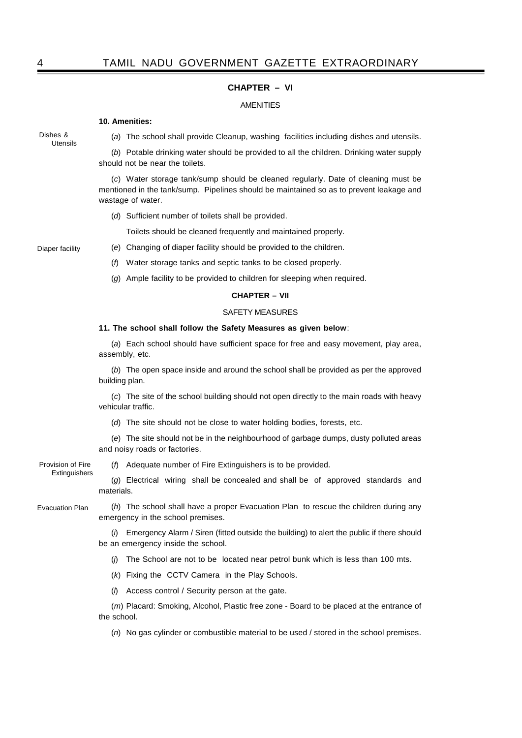# **CHAPTER – VI**

#### AMENITIES

## **10. Amenities:**

Dishes & Utensils

(*a*) The school shall provide Cleanup, washing facilities including dishes and utensils.

(*b*) Potable drinking water should be provided to all the children. Drinking water supply should not be near the toilets.

(*c*) Water storage tank/sump should be cleaned regularly. Date of cleaning must be mentioned in the tank/sump. Pipelines should be maintained so as to prevent leakage and wastage of water.

(*d*) Sufficient number of toilets shall be provided.

Toilets should be cleaned frequently and maintained properly.

Diaper facility

(*e*) Changing of diaper facility should be provided to the children. (*f*) Water storage tanks and septic tanks to be closed properly.

(*g*) Ample facility to be provided to children for sleeping when required.

# **CHAPTER – VII**

# SAFETY MEASURES

## **11. The school shall follow the Safety Measures as given below**:

(*a*) Each school should have sufficient space for free and easy movement, play area, assembly, etc.

(*b*) The open space inside and around the school shall be provided as per the approved building plan.

(*c*) The site of the school building should not open directly to the main roads with heavy vehicular traffic.

(*d*) The site should not be close to water holding bodies, forests, etc.

(*e*) The site should not be in the neighbourhood of garbage dumps, dusty polluted areas and noisy roads or factories.

Provision of Fire Extinguishers (*f*) Adequate number of Fire Extinguishers is to be provided.

(*g*) Electrical wiring shall be concealed and shall be of approved standards and materials.

Evacuation Plan

(*h*) The school shall have a proper Evacuation Plan to rescue the children during any emergency in the school premises.

(*i*) Emergency Alarm / Siren (fitted outside the building) to alert the public if there should be an emergency inside the school.

(*j*) The School are not to be located near petrol bunk which is less than 100 mts.

(*k*) Fixing the CCTV Camera in the Play Schools.

(*l*) Access control / Security person at the gate.

(*m*) Placard: Smoking, Alcohol, Plastic free zone - Board to be placed at the entrance of the school.

(*n*) No gas cylinder or combustible material to be used / stored in the school premises.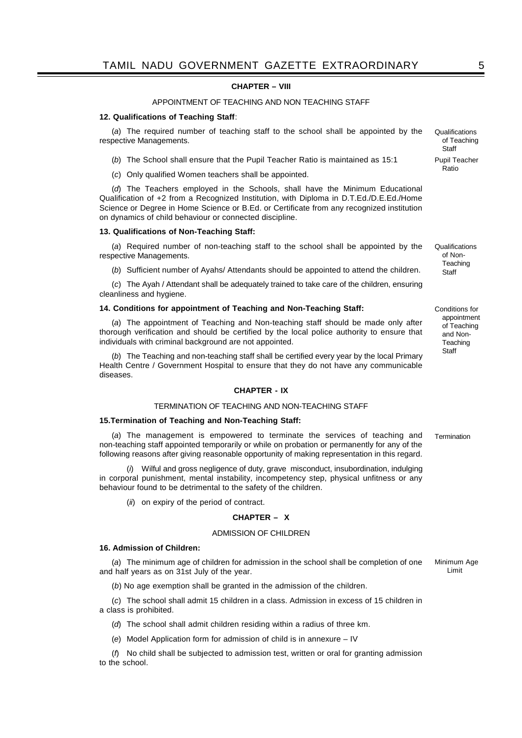# **CHAPTER – VIII**

## APPOINTMENT OF TEACHING AND NON TEACHING STAFF

#### **12. Qualifications of Teaching Staff**:

(*a*) The required number of teaching staff to the school shall be appointed by the respective Managements.

- (*b*) The School shall ensure that the Pupil Teacher Ratio is maintained as 15:1
- (*c*) Only qualified Women teachers shall be appointed.

(*d*) The Teachers employed in the Schools, shall have the Minimum Educational Qualification of +2 from a Recognized Institution, with Diploma in D.T.Ed./D.E.Ed./Home Science or Degree in Home Science or B.Ed. or Certificate from any recognized institution on dynamics of child behaviour or connected discipline.

#### **13. Qualifications of Non-Teaching Staff:**

(*a*) Required number of non-teaching staff to the school shall be appointed by the respective Managements.

(*b*) Sufficient number of Ayahs/ Attendants should be appointed to attend the children.

(*c*) The Ayah / Attendant shall be adequately trained to take care of the children, ensuring cleanliness and hygiene.

### **14. Conditions for appointment of Teaching and Non-Teaching Staff:**

(*a*) The appointment of Teaching and Non-teaching staff should be made only after thorough verification and should be certified by the local police authority to ensure that individuals with criminal background are not appointed.

(*b*) The Teaching and non-teaching staff shall be certified every year by the local Primary Health Centre / Government Hospital to ensure that they do not have any communicable diseases.

#### **CHAPTER - IX**

# TERMINATION OF TEACHING AND NON-TEACHING STAFF

#### **15.Termination of Teaching and Non-Teaching Staff:**

(*a*) The management is empowered to terminate the services of teaching and non-teaching staff appointed temporarily or while on probation or permanently for any of the following reasons after giving reasonable opportunity of making representation in this regard. Termination

(*i*) Wilful and gross negligence of duty, grave misconduct, insubordination, indulging in corporal punishment, mental instability, incompetency step, physical unfitness or any behaviour found to be detrimental to the safety of the children.

(*ii*) on expiry of the period of contract.

# **CHAPTER – X**

#### ADMISSION OF CHILDREN

#### **16. Admission of Children:**

(*a*) The minimum age of children for admission in the school shall be completion of one and half years as on 31st July of the year. Minimum Age Limit

(*b*) No age exemption shall be granted in the admission of the children.

(*c*) The school shall admit 15 children in a class. Admission in excess of 15 children in a class is prohibited.

(*d*) The school shall admit children residing within a radius of three km.

(*e*) Model Application form for admission of child is in annexure – IV

(*f*) No child shall be subjected to admission test, written or oral for granting admission to the school.

of Non-**Teaching Staff** 

Qualifications

Qualifications of Teaching **Staff** Pupil Teacher Ratio

Conditions for appointment of Teaching and Non-**Teaching Staff**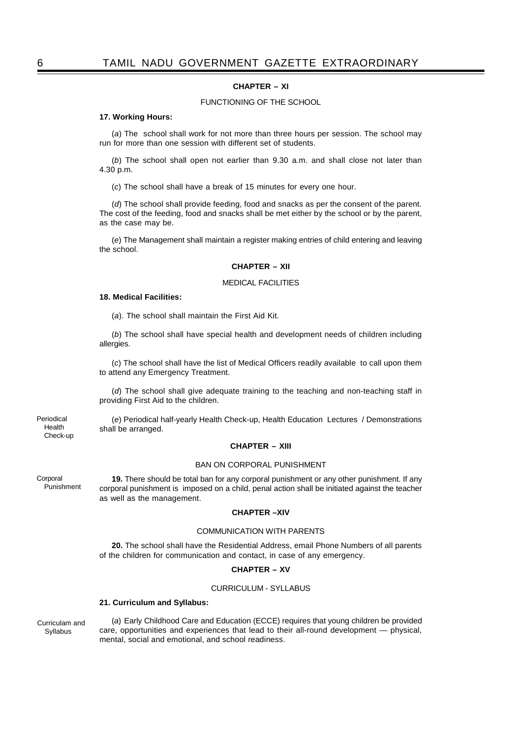# **CHAPTER – XI**

# FUNCTIONING OF THE SCHOOL

#### **17. Working Hours:**

(*a*) The school shall work for not more than three hours per session. The school may run for more than one session with different set of students.

(*b*) The school shall open not earlier than 9.30 a.m. and shall close not later than 4.30 p.m.

(*c*) The school shall have a break of 15 minutes for every one hour.

(*d*) The school shall provide feeding, food and snacks as per the consent of the parent. The cost of the feeding, food and snacks shall be met either by the school or by the parent, as the case may be.

(*e*) The Management shall maintain a register making entries of child entering and leaving the school.

# **CHAPTER – XII**

#### MEDICAL FACILITIES

#### **18. Medical Facilities:**

(*a*). The school shall maintain the First Aid Kit.

(*b*) The school shall have special health and development needs of children including allergies.

(*c*) The school shall have the list of Medical Officers readily available to call upon them to attend any Emergency Treatment.

(*d*) The school shall give adequate training to the teaching and non-teaching staff in providing First Aid to the children.

(*e*) Periodical half-yearly Health Check-up, Health Education Lectures / Demonstrations shall be arranged.

#### **CHAPTER – XIII**

#### BAN ON CORPORAL PUNISHMENT

**19.** There should be total ban for any corporal punishment or any other punishment. If any corporal punishment is imposed on a child, penal action shall be initiated against the teacher as well as the management.

# **CHAPTER –XIV**

#### COMMUNICATION WITH PARENTS

**20.** The school shall have the Residential Address, email Phone Numbers of all parents of the children for communication and contact, in case of any emergency.

# **CHAPTER – XV**

# CURRICULUM - SYLLABUS

#### **21. Curriculum and Syllabus:**

Curriculam and Syllabus

(*a*) Early Childhood Care and Education (ECCE) requires that young children be provided care, opportunities and experiences that lead to their all-round development — physical, mental, social and emotional, and school readiness.

Periodical Health

Check-up

**Corporal** Punishment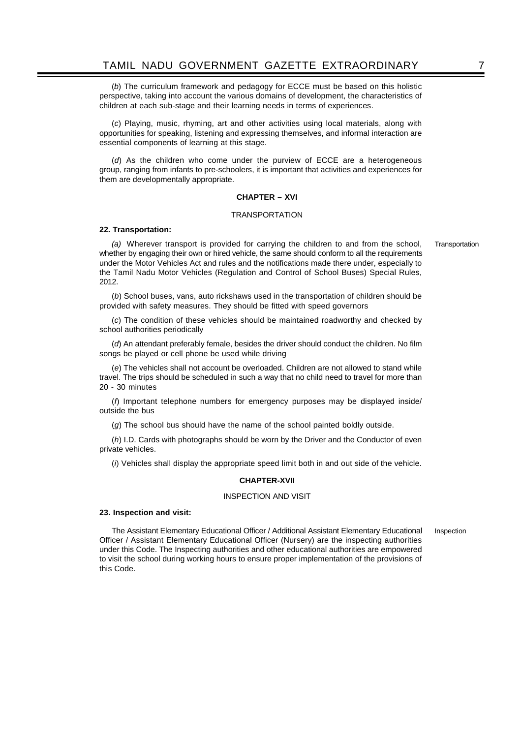(*b*) The curriculum framework and pedagogy for ECCE must be based on this holistic perspective, taking into account the various domains of development, the characteristics of children at each sub-stage and their learning needs in terms of experiences.

(*c*) Playing, music, rhyming, art and other activities using local materials, along with opportunities for speaking, listening and expressing themselves, and informal interaction are essential components of learning at this stage.

(*d*) As the children who come under the purview of ECCE are a heterogeneous group, ranging from infants to pre-schoolers, it is important that activities and experiences for them are developmentally appropriate.

# **CHAPTER – XVI**

# **TRANSPORTATION**

#### **22. Transportation:**

*(a)* Wherever transport is provided for carrying the children to and from the school, whether by engaging their own or hired vehicle, the same should conform to all the requirements under the Motor Vehicles Act and rules and the notifications made there under, especially to the Tamil Nadu Motor Vehicles (Regulation and Control of School Buses) Special Rules, 2012. **Transportation** 

(*b*) School buses, vans, auto rickshaws used in the transportation of children should be provided with safety measures. They should be fitted with speed governors

(*c*) The condition of these vehicles should be maintained roadworthy and checked by school authorities periodically

(*d*) An attendant preferably female, besides the driver should conduct the children. No film songs be played or cell phone be used while driving

(*e*) The vehicles shall not account be overloaded. Children are not allowed to stand while travel. The trips should be scheduled in such a way that no child need to travel for more than 20 - 30 minutes

(*f*) Important telephone numbers for emergency purposes may be displayed inside/ outside the bus

(*g*) The school bus should have the name of the school painted boldly outside.

(*h*) I.D. Cards with photographs should be worn by the Driver and the Conductor of even private vehicles.

(*i*) Vehicles shall display the appropriate speed limit both in and out side of the vehicle.

### **CHAPTER-XVII**

#### INSPECTION AND VISIT

#### **23. Inspection and visit:**

The Assistant Elementary Educational Officer / Additional Assistant Elementary Educational Officer / Assistant Elementary Educational Officer (Nursery) are the inspecting authorities under this Code. The Inspecting authorities and other educational authorities are empowered to visit the school during working hours to ensure proper implementation of the provisions of this Code. Inspection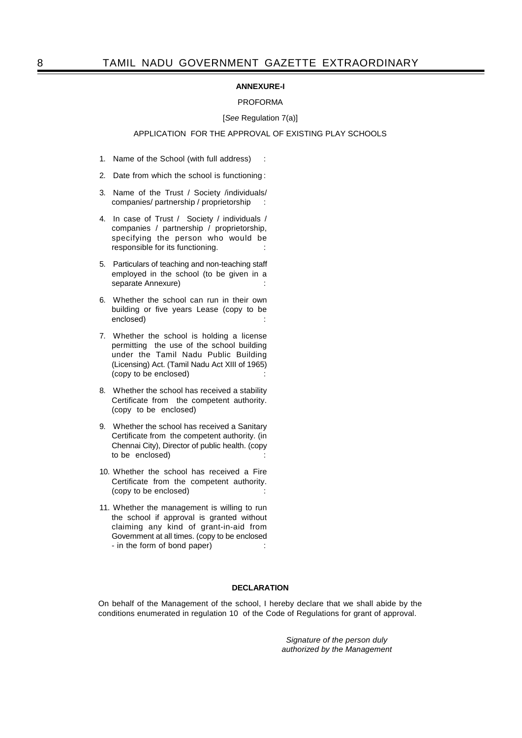# **ANNEXURE-I**

#### PROFORMA

#### [*See* Regulation 7(a)]

# APPLICATION FOR THE APPROVAL OF EXISTING PLAY SCHOOLS

- 1. Name of the School (with full address) :
- 2. Date from which the school is functioning :
- 3. Name of the Trust / Society /individuals/ companies/ partnership / proprietorship :
- 4. In case of Trust / Society / individuals / companies / partnership / proprietorship, specifying the person who would be responsible for its functioning.
- 5. Particulars of teaching and non-teaching staff employed in the school (to be given in a separate Annexure)
- 6. Whether the school can run in their own building or five years Lease (copy to be enclosed)
- 7. Whether the school is holding a license permitting the use of the school building under the Tamil Nadu Public Building (Licensing) Act. (Tamil Nadu Act XIII of 1965) (copy to be enclosed)
- 8. Whether the school has received a stability Certificate from the competent authority. (copy to be enclosed)
- 9. Whether the school has received a Sanitary Certificate from the competent authority. (in Chennai City), Director of public health. (copy to be enclosed)
- 10. Whether the school has received a Fire Certificate from the competent authority. (copy to be enclosed)
- 11. Whether the management is willing to run the school if approval is granted without claiming any kind of grant-in-aid from Government at all times. (copy to be enclosed - in the form of bond paper) :

# **DECLARATION**

On behalf of the Management of the school, I hereby declare that we shall abide by the conditions enumerated in regulation 10 of the Code of Regulations for grant of approval.

> *Signature of the person duly authorized by the Management*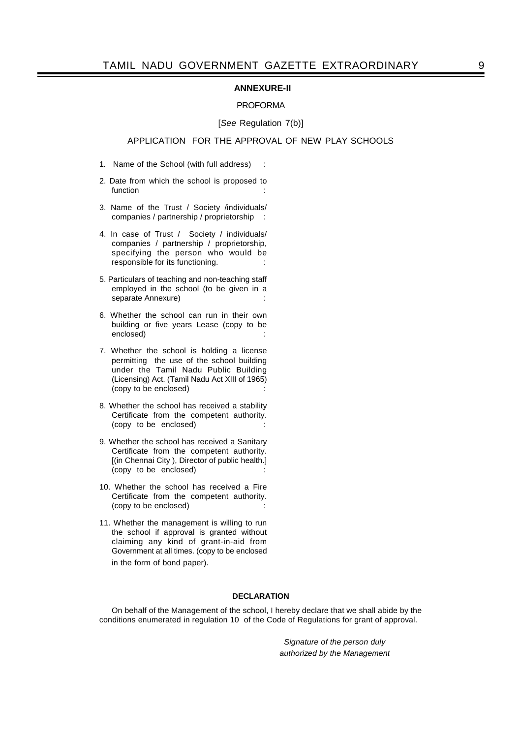### **ANNEXURE-II**

# PROFORMA

# [*See* Regulation 7(b)]

# APPLICATION FOR THE APPROVAL OF NEW PLAY SCHOOLS

- 1. Name of the School (with full address) :
- 2. Date from which the school is proposed to function in the set of the set of the set of the set of the set of the set of the set of the set of the set of the set of the set of the set of the set of the set of the set of the set of the set of the set of the set of t
- 3. Name of the Trust / Society /individuals/ companies / partnership / proprietorship :
- 4. In case of Trust / Society / individuals/ companies / partnership / proprietorship, specifying the person who would be responsible for its functioning.
- 5. Particulars of teaching and non-teaching staff employed in the school (to be given in a separate Annexure)
- 6. Whether the school can run in their own building or five years Lease (copy to be enclosed)
- 7. Whether the school is holding a license permitting the use of the school building under the Tamil Nadu Public Building (Licensing) Act. (Tamil Nadu Act XIII of 1965) (copy to be enclosed)
- 8. Whether the school has received a stability Certificate from the competent authority. (copy to be enclosed)
- 9. Whether the school has received a Sanitary Certificate from the competent authority. [(in Chennai City ), Director of public health.] (copy to be enclosed)
- 10. Whether the school has received a Fire Certificate from the competent authority. (copy to be enclosed)
- 11. Whether the management is willing to run the school if approval is granted without claiming any kind of grant-in-aid from Government at all times. (copy to be enclosed in the form of bond paper).

# **DECLARATION**

On behalf of the Management of the school, I hereby declare that we shall abide by the conditions enumerated in regulation 10 of the Code of Regulations for grant of approval.

> *Signature of the person duly authorized by the Management*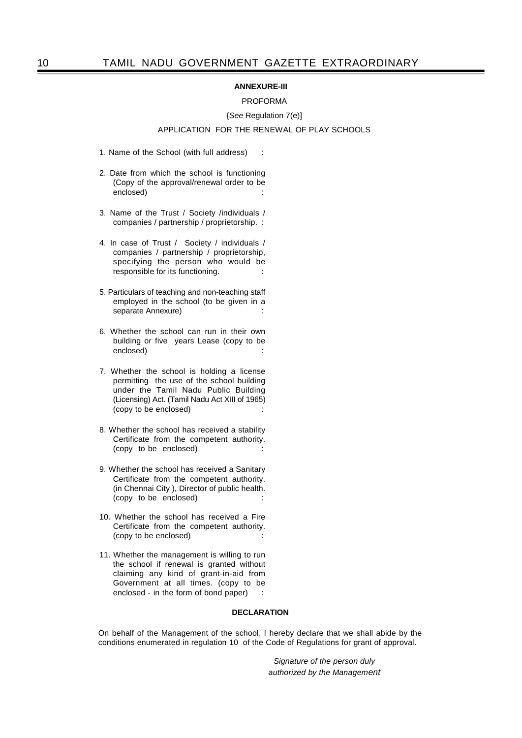# **ANNEXURE-III**

# PROFORMA

#### {*See* Regulation 7(e)]

# APPLICATION FOR THE RENEWAL OF PLAY SCHOOLS

- 1. Name of the School (with full address) :
- 2. Date from which the school is functioning (Copy of the approval/renewal order to be enclosed)
- 3. Name of the Trust / Society /individuals / companies / partnership / proprietorship. :
- 4. In case of Trust / Society / individuals / companies / partnership / proprietorship, specifying the person who would be responsible for its functioning.
- 5. Particulars of teaching and non-teaching staff employed in the school (to be given in a separate Annexure)
- 6. Whether the school can run in their own building or five years Lease (copy to be enclosed)
- 7. Whether the school is holding a license permitting the use of the school building under the Tamil Nadu Public Building (Licensing) Act. (Tamil Nadu Act XIII of 1965) (copy to be enclosed)
- 8. Whether the school has received a stability Certificate from the competent authority. (copy to be enclosed)
- 9. Whether the school has received a Sanitary Certificate from the competent authority. (in Chennai City ), Director of public health. (copy to be enclosed)
- 10. Whether the school has received a Fire Certificate from the competent authority. (copy to be enclosed)
- 11. Whether the management is willing to run the school if renewal is granted without claiming any kind of grant-in-aid from Government at all times. (copy to be enclosed - in the form of bond paper) :

# **DECLARATION**

On behalf of the Management of the school, I hereby declare that we shall abide by the conditions enumerated in regulation 10 of the Code of Regulations for grant of approval.

> *Signature of the person duly authorized by the Management*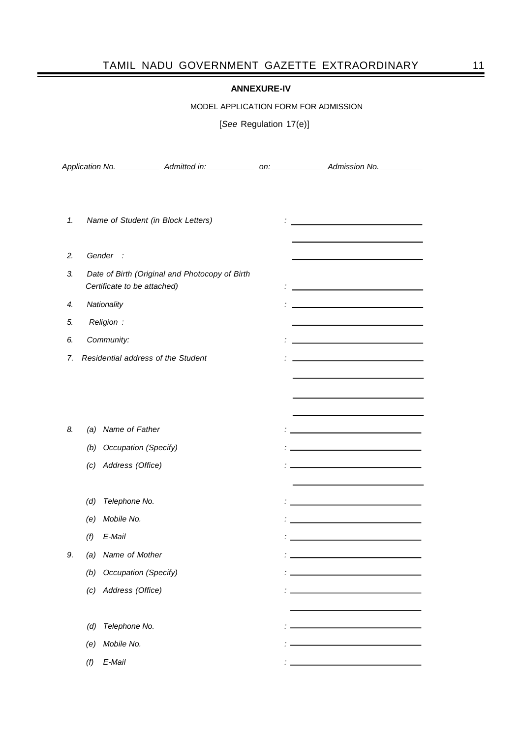# TAMIL NADU GOVERNMENT GAZETTE EXTRAORDINARY 11

# **ANNEXURE-IV**

MODEL APPLICATION FORM FOR ADMISSION

[*See* Regulation 17(e)]

|    |                                                                               |                             |                                    | Application No. _______________ Admitted in: ______________ on: ________________ Admission No. ___________           |  |
|----|-------------------------------------------------------------------------------|-----------------------------|------------------------------------|----------------------------------------------------------------------------------------------------------------------|--|
| 1. |                                                                               |                             | Name of Student (in Block Letters) | <u> 1989 - John Stein, mars and de Britain and de Britain and de Britain and de Britain and de Britain and de Br</u> |  |
| 2. |                                                                               | Gender :                    |                                    |                                                                                                                      |  |
| 3. | Date of Birth (Original and Photocopy of Birth<br>Certificate to be attached) |                             |                                    |                                                                                                                      |  |
| 4. | Nationality                                                                   |                             |                                    |                                                                                                                      |  |
| 5. | Religion :                                                                    |                             |                                    |                                                                                                                      |  |
| 6. |                                                                               | Community:                  |                                    | <u> 1989 - Johann Barn, amerikansk politiker (d. 1989)</u>                                                           |  |
| 7. | Residential address of the Student                                            |                             |                                    |                                                                                                                      |  |
|    |                                                                               |                             |                                    |                                                                                                                      |  |
|    |                                                                               |                             |                                    |                                                                                                                      |  |
| 8. | (a)                                                                           | Name of Father              |                                    |                                                                                                                      |  |
|    | (b)                                                                           | <b>Occupation (Specify)</b> |                                    |                                                                                                                      |  |
|    |                                                                               | (c) Address (Office)        |                                    |                                                                                                                      |  |
|    | (d)                                                                           | Telephone No.               |                                    |                                                                                                                      |  |
|    | (e)                                                                           | Mobile No.                  |                                    |                                                                                                                      |  |
|    | (f)                                                                           | E-Mail                      |                                    |                                                                                                                      |  |
| 9. | (a)                                                                           | Name of Mother              |                                    |                                                                                                                      |  |
|    | (b)                                                                           | Occupation (Specify)        |                                    |                                                                                                                      |  |
|    | (c)                                                                           | Address (Office)            |                                    |                                                                                                                      |  |
|    |                                                                               |                             |                                    |                                                                                                                      |  |
|    | (d)                                                                           | Telephone No.               |                                    |                                                                                                                      |  |
|    | (e)                                                                           | Mobile No.                  |                                    |                                                                                                                      |  |
|    | (f)                                                                           | E-Mail                      |                                    |                                                                                                                      |  |